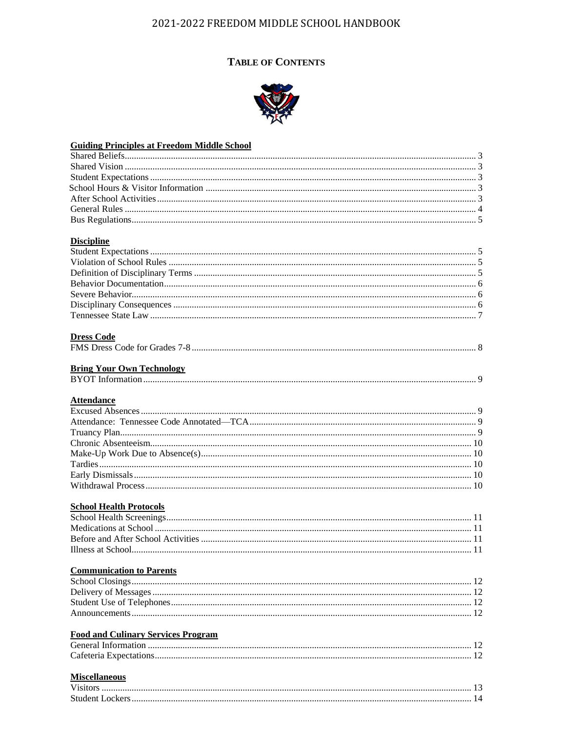# **TABLE OF CONTENTS**



| <b>Guiding Principles at Freedom Middle School</b> |  |
|----------------------------------------------------|--|
|                                                    |  |
|                                                    |  |
|                                                    |  |
|                                                    |  |
|                                                    |  |
|                                                    |  |
|                                                    |  |
|                                                    |  |
| <b>Discipline</b>                                  |  |
|                                                    |  |
|                                                    |  |
|                                                    |  |
|                                                    |  |
|                                                    |  |
|                                                    |  |
|                                                    |  |
|                                                    |  |
| <b>Dress Code</b>                                  |  |
|                                                    |  |
|                                                    |  |
| <b>Bring Your Own Technology</b>                   |  |
|                                                    |  |
|                                                    |  |
| <b>Attendance</b>                                  |  |
|                                                    |  |
|                                                    |  |
|                                                    |  |
|                                                    |  |
|                                                    |  |
|                                                    |  |
|                                                    |  |
|                                                    |  |
|                                                    |  |
| <b>School Health Protocols</b>                     |  |
|                                                    |  |
|                                                    |  |
| Illness at School                                  |  |
|                                                    |  |
| <b>Communication to Parents</b>                    |  |
|                                                    |  |
|                                                    |  |
|                                                    |  |
|                                                    |  |
|                                                    |  |
| <b>Food and Culinary Services Program</b>          |  |
|                                                    |  |
|                                                    |  |
|                                                    |  |
| <b>Miscellaneous</b>                               |  |
|                                                    |  |
|                                                    |  |
|                                                    |  |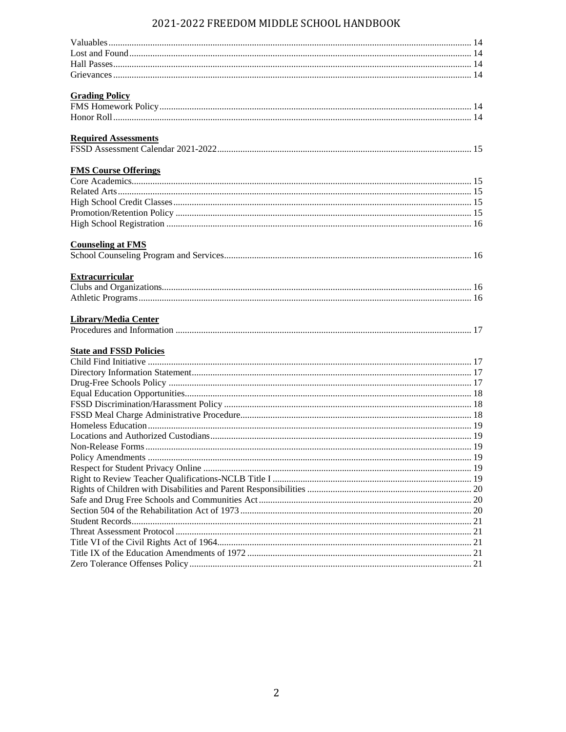| <b>Grading Policy</b>          |  |
|--------------------------------|--|
|                                |  |
|                                |  |
| <b>Required Assessments</b>    |  |
|                                |  |
|                                |  |
| <b>FMS Course Offerings</b>    |  |
|                                |  |
|                                |  |
|                                |  |
|                                |  |
|                                |  |
| <b>Counseling at FMS</b>       |  |
|                                |  |
| <b>Extracurricular</b>         |  |
|                                |  |
|                                |  |
|                                |  |
| <b>Library/Media Center</b>    |  |
|                                |  |
|                                |  |
| <b>State and FSSD Policies</b> |  |
|                                |  |
|                                |  |
|                                |  |
|                                |  |
|                                |  |
|                                |  |
|                                |  |
|                                |  |
|                                |  |
|                                |  |
|                                |  |
|                                |  |
|                                |  |
|                                |  |
|                                |  |
|                                |  |
|                                |  |
|                                |  |
|                                |  |
|                                |  |
|                                |  |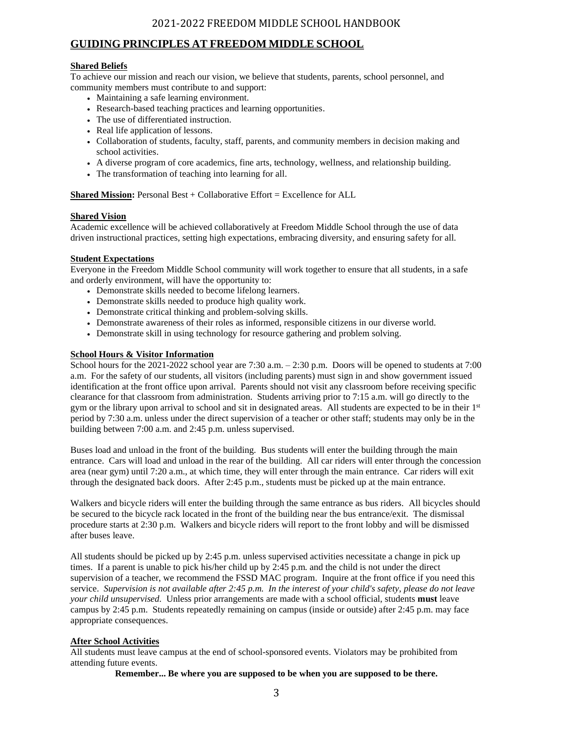## **GUIDING PRINCIPLES AT FREEDOM MIDDLE SCHOOL**

### **Shared Beliefs**

To achieve our mission and reach our vision, we believe that students, parents, school personnel, and community members must contribute to and support:

- Maintaining a safe learning environment.
- Research-based teaching practices and learning opportunities.
- The use of differentiated instruction.
- Real life application of lessons.
- Collaboration of students, faculty, staff, parents, and community members in decision making and school activities.
- A diverse program of core academics, fine arts, technology, wellness, and relationship building.
- The transformation of teaching into learning for all.

**Shared Mission: Personal Best + Collaborative Effort = Excellence for ALL** 

#### **Shared Vision**

Academic excellence will be achieved collaboratively at Freedom Middle School through the use of data driven instructional practices, setting high expectations, embracing diversity, and ensuring safety for all.

### **Student Expectations**

Everyone in the Freedom Middle School community will work together to ensure that all students, in a safe and orderly environment, will have the opportunity to:

- Demonstrate skills needed to become lifelong learners.
- Demonstrate skills needed to produce high quality work.
- Demonstrate critical thinking and problem-solving skills.
- Demonstrate awareness of their roles as informed, responsible citizens in our diverse world.
- Demonstrate skill in using technology for resource gathering and problem solving.

### **School Hours & Visitor Information**

School hours for the 2021-2022 school year are 7:30 a.m. – 2:30 p.m. Doors will be opened to students at 7:00 a.m. For the safety of our students, all visitors (including parents) must sign in and show government issued identification at the front office upon arrival. Parents should not visit any classroom before receiving specific clearance for that classroom from administration. Students arriving prior to 7:15 a.m. will go directly to the gym or the library upon arrival to school and sit in designated areas. All students are expected to be in their 1st period by 7:30 a.m. unless under the direct supervision of a teacher or other staff; students may only be in the building between 7:00 a.m. and 2:45 p.m. unless supervised.

Buses load and unload in the front of the building. Bus students will enter the building through the main entrance. Cars will load and unload in the rear of the building. All car riders will enter through the concession area (near gym) until 7:20 a.m., at which time, they will enter through the main entrance. Car riders will exit through the designated back doors. After 2:45 p.m., students must be picked up at the main entrance.

Walkers and bicycle riders will enter the building through the same entrance as bus riders. All bicycles should be secured to the bicycle rack located in the front of the building near the bus entrance/exit. The dismissal procedure starts at 2:30 p.m. Walkers and bicycle riders will report to the front lobby and will be dismissed after buses leave.

All students should be picked up by 2:45 p.m. unless supervised activities necessitate a change in pick up times. If a parent is unable to pick his/her child up by 2:45 p.m. and the child is not under the direct supervision of a teacher, we recommend the FSSD MAC program. Inquire at the front office if you need this service. *Supervision is not available after 2:45 p.m. In the interest of your child's safety, please do not leave your child unsupervised.* Unless prior arrangements are made with a school official, students **must** leave campus by 2:45 p.m. Students repeatedly remaining on campus (inside or outside) after 2:45 p.m. may face appropriate consequences.

### **After School Activities**

All students must leave campus at the end of school-sponsored events. Violators may be prohibited from attending future events.

**Remember... Be where you are supposed to be when you are supposed to be there.**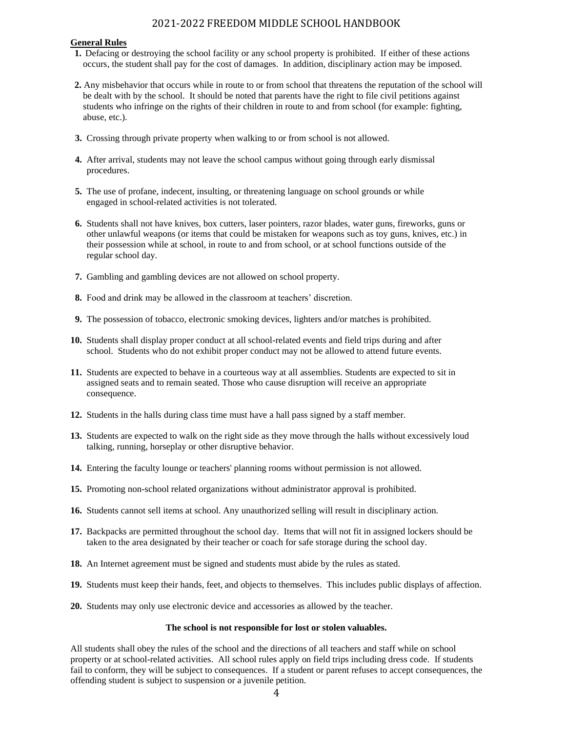#### **General Rules**

- **1.** Defacing or destroying the school facility or any school property is prohibited. If either of these actions occurs, the student shall pay for the cost of damages. In addition, disciplinary action may be imposed.
- **2.** Any misbehavior that occurs while in route to or from school that threatens the reputation of the school will be dealt with by the school. It should be noted that parents have the right to file civil petitions against students who infringe on the rights of their children in route to and from school (for example: fighting, abuse, etc.).
- **3.** Crossing through private property when walking to or from school is not allowed.
- **4.** After arrival, students may not leave the school campus without going through early dismissal procedures.
- **5.** The use of profane, indecent, insulting, or threatening language on school grounds or while engaged in school-related activities is not tolerated.
- **6.** Students shall not have knives, box cutters, laser pointers, razor blades, water guns, fireworks, guns or other unlawful weapons (or items that could be mistaken for weapons such as toy guns, knives, etc.) in their possession while at school, in route to and from school, or at school functions outside of the regular school day.
- **7.** Gambling and gambling devices are not allowed on school property.
- **8.** Food and drink may be allowed in the classroom at teachers' discretion.
- **9.** The possession of tobacco, electronic smoking devices, lighters and/or matches is prohibited.
- **10.** Students shall display proper conduct at all school-related events and field trips during and after school. Students who do not exhibit proper conduct may not be allowed to attend future events.
- **11.** Students are expected to behave in a courteous way at all assemblies. Students are expected to sit in assigned seats and to remain seated. Those who cause disruption will receive an appropriate consequence.
- **12.** Students in the halls during class time must have a hall pass signed by a staff member.
- **13.** Students are expected to walk on the right side as they move through the halls without excessively loud talking, running, horseplay or other disruptive behavior.
- **14.** Entering the faculty lounge or teachers' planning rooms without permission is not allowed.
- **15.** Promoting non-school related organizations without administrator approval is prohibited.
- **16.** Students cannot sell items at school. Any unauthorized selling will result in disciplinary action.
- **17.** Backpacks are permitted throughout the school day. Items that will not fit in assigned lockers should be taken to the area designated by their teacher or coach for safe storage during the school day.
- **18.** An Internet agreement must be signed and students must abide by the rules as stated.
- **19.** Students must keep their hands, feet, and objects to themselves. This includes public displays of affection.
- **20.** Students may only use electronic device and accessories as allowed by the teacher.

#### **The school is not responsible for lost or stolen valuables.**

All students shall obey the rules of the school and the directions of all teachers and staff while on school property or at school-related activities. All school rules apply on field trips including dress code. If students fail to conform, they will be subject to consequences. If a student or parent refuses to accept consequences, the offending student is subject to suspension or a juvenile petition.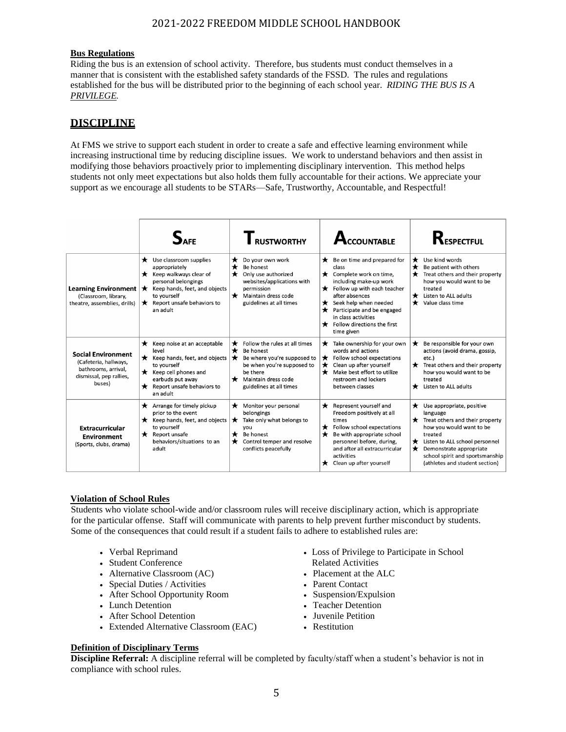### **Bus Regulations**

Riding the bus is an extension of school activity. Therefore, bus students must conduct themselves in a manner that is consistent with the established safety standards of the FSSD. The rules and regulations established for the bus will be distributed prior to the beginning of each school year. *RIDING THE BUS IS A PRIVILEGE.*

## **DISCIPLINE**

At FMS we strive to support each student in order to create a safe and effective learning environment while increasing instructional time by reducing discipline issues. We work to understand behaviors and then assist in modifying those behaviors proactively prior to implementing disciplinary intervention. This method helps students not only meet expectations but also holds them fully accountable for their actions. We appreciate your support as we encourage all students to be STARs—Safe, Trustworthy, Accountable, and Respectful!

|                                                                                                                |                                                                                                                                                                                                                                   | <b>RUSTWORTHY</b>                                                                                                                                                                                      | CCOUNTABLE                                                                                                                                                                                                                                                                                                                             | $R_{\text{espectfull}}$                                                                                                                                                                                                                                                 |
|----------------------------------------------------------------------------------------------------------------|-----------------------------------------------------------------------------------------------------------------------------------------------------------------------------------------------------------------------------------|--------------------------------------------------------------------------------------------------------------------------------------------------------------------------------------------------------|----------------------------------------------------------------------------------------------------------------------------------------------------------------------------------------------------------------------------------------------------------------------------------------------------------------------------------------|-------------------------------------------------------------------------------------------------------------------------------------------------------------------------------------------------------------------------------------------------------------------------|
| Learning Environment  <br>(Classroom, library,<br>theatre, assemblies, drills)                                 | Use classroom supplies<br>$\star$<br>appropriately<br>Keep walkways clear of<br>personal belongings<br>Keep hands, feet, and objects<br>$\star$<br>to vourself<br>Report unsafe behaviors to<br>$\star$<br>an adult               | Do your own work<br>$\star$<br>★<br>Be honest<br>★<br>Only use authorized<br>websites/applications with<br>permission<br>$\bigstar$ Maintain dress code<br>guidelines at all times                     | $\bigstar$ Be on time and prepared for<br>class<br>$\bigstar$ Complete work on time,<br>including make-up work<br>$\bigstar$ Follow up with each teacher<br>after absences<br>$\bigstar$ Seek help when needed<br>$\bigstar$ Participate and be engaged<br>in class activities<br>$\bigstar$ Follow directions the first<br>time given | $\bigstar$ Use kind words<br>Be patient with others<br>★<br>Treat others and their property<br>how you would want to be<br>treated<br>$\bigstar$ Listen to ALL adults<br>Value class time<br>$\star$                                                                    |
| <b>Social Environment</b><br>(Cafeteria, hallways,<br>bathrooms, arrival,<br>dismissal, pep rallies,<br>buses) | $\bigstar$ Keep noise at an acceptable<br>level<br>$\bigstar$ Keep hands, feet, and objects $\bigstar$<br>to yourself<br>$\bigstar$ Keep cell phones and<br>earbuds put away<br>$\bigstar$ Report unsafe behaviors to<br>an adult | Follow the rules at all times<br>$\star$<br>$\star$<br>Be honest<br>Be where you're supposed to<br>be when you're supposed to<br>be there<br>Maintain dress code<br>$\star$<br>guidelines at all times | $\bigstar$ Take ownership for your own<br>words and actions<br>$\bigstar$ Follow school expectations<br>$\bigstar$ Clean up after yourself<br>$\star$<br>Make best effort to utilize<br>restroom and lockers<br>between classes                                                                                                        | Be responsible for your own<br>$\star$<br>actions (avoid drama, gossip,<br>etc.)<br>$\bigstar$ Treat others and their property<br>how you would want to be<br>treated<br>Listen to ALL adults<br>*                                                                      |
| <b>Extracurricular</b><br><b>Environment</b><br>(Sports, clubs, drama)                                         | Arrange for timely pickup<br>*<br>prior to the event<br>Keep hands, feet, and objects<br>$\star$<br>to yourself<br>$\bigstar$ Report unsafe<br>behaviors/situations to an<br>adult                                                | Monitor your personal<br>$\star$<br>belongings<br>Take only what belongs to<br>$\star$<br>vou<br>Be honest<br>$\star$<br>Control temper and resolve<br>$\star$<br>conflicts peacefully                 | $\bigstar$ Represent yourself and<br>Freedom positively at all<br>times<br>$\bigstar$ Follow school expectations<br>$\star$<br>Be with appropriate school<br>personnel before, during,<br>and after all extracurricular<br>activities<br>$\bigstar$ Clean up after yourself                                                            | $\bigstar$ Use appropriate, positive<br>language<br>$\bigstar$ Treat others and their property<br>how you would want to be<br>treated<br>Listen to ALL school personnel<br>Demonstrate appropriate<br>school spirit and sportsmanship<br>(athletes and student section) |

#### **Violation of School Rules**

 Students who violate school-wide and/or classroom rules will receive disciplinary action, which is appropriate for the particular offense. Staff will communicate with parents to help prevent further misconduct by students. Some of the consequences that could result if a student fails to adhere to established rules are:

- Verbal Reprimand
- Student Conference
- Alternative Classroom (AC)
- Special Duties / Activities
- After School Opportunity Room
- Lunch Detention
- After School Detention
- Extended Alternative Classroom (EAC)
- Loss of Privilege to Participate in School Related Activities
- Placement at the ALC
- Parent Contact
- Suspension/Expulsion
- Teacher Detention
- Juvenile Petition
- Restitution

### **Definition of Disciplinary Terms**

**Discipline Referral:** A discipline referral will be completed by faculty/staff when a student's behavior is not in compliance with school rules.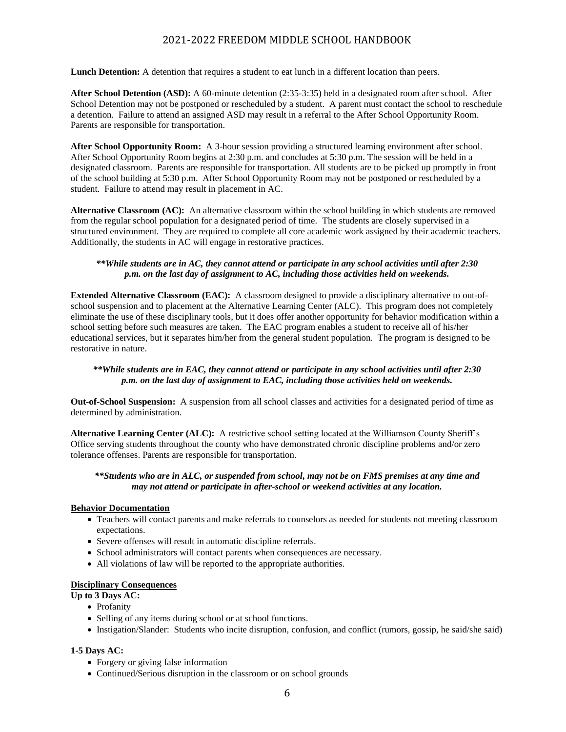**Lunch Detention:** A detention that requires a student to eat lunch in a different location than peers.

**After School Detention (ASD):** A 60-minute detention (2:35-3:35) held in a designated room after school. After School Detention may not be postponed or rescheduled by a student. A parent must contact the school to reschedule a detention. Failure to attend an assigned ASD may result in a referral to the After School Opportunity Room. Parents are responsible for transportation.

**After School Opportunity Room:** A 3-hour session providing a structured learning environment after school. After School Opportunity Room begins at 2:30 p.m. and concludes at 5:30 p.m. The session will be held in a designated classroom. Parents are responsible for transportation. All students are to be picked up promptly in front of the school building at 5:30 p.m. After School Opportunity Room may not be postponed or rescheduled by a student. Failure to attend may result in placement in AC.

**Alternative Classroom (AC):** An alternative classroom within the school building in which students are removed from the regular school population for a designated period of time. The students are closely supervised in a structured environment. They are required to complete all core academic work assigned by their academic teachers. Additionally, the students in AC will engage in restorative practices.

### *\*\*While students are in AC, they cannot attend or participate in any school activities until after 2:30 p.m. on the last day of assignment to AC, including those activities held on weekends.*

**Extended Alternative Classroom (EAC):** A classroom designed to provide a disciplinary alternative to out-ofschool suspension and to placement at the Alternative Learning Center (ALC). This program does not completely eliminate the use of these disciplinary tools, but it does offer another opportunity for behavior modification within a school setting before such measures are taken. The EAC program enables a student to receive all of his/her educational services, but it separates him/her from the general student population. The program is designed to be restorative in nature.

### *\*\*While students are in EAC, they cannot attend or participate in any school activities until after 2:30 p.m. on the last day of assignment to EAC, including those activities held on weekends.*

**Out-of-School Suspension:** A suspension from all school classes and activities for a designated period of time as determined by administration.

**Alternative Learning Center (ALC):** A restrictive school setting located at the Williamson County Sheriff's Office serving students throughout the county who have demonstrated chronic discipline problems and/or zero tolerance offenses. Parents are responsible for transportation.

### *\*\*Students who are in ALC, or suspended from school, may not be on FMS premises at any time and may not attend or participate in after-school or weekend activities at any location.*

### **Behavior Documentation**

- Teachers will contact parents and make referrals to counselors as needed for students not meeting classroom expectations.
- Severe offenses will result in automatic discipline referrals.
- School administrators will contact parents when consequences are necessary.
- All violations of law will be reported to the appropriate authorities.

### **Disciplinary Consequences**

## **Up to 3 Days AC:**

- Profanity
- Selling of any items during school or at school functions.
- Instigation/Slander: Students who incite disruption, confusion, and conflict (rumors, gossip, he said/she said)

### **1-5 Days AC:**

- Forgery or giving false information
- Continued/Serious disruption in the classroom or on school grounds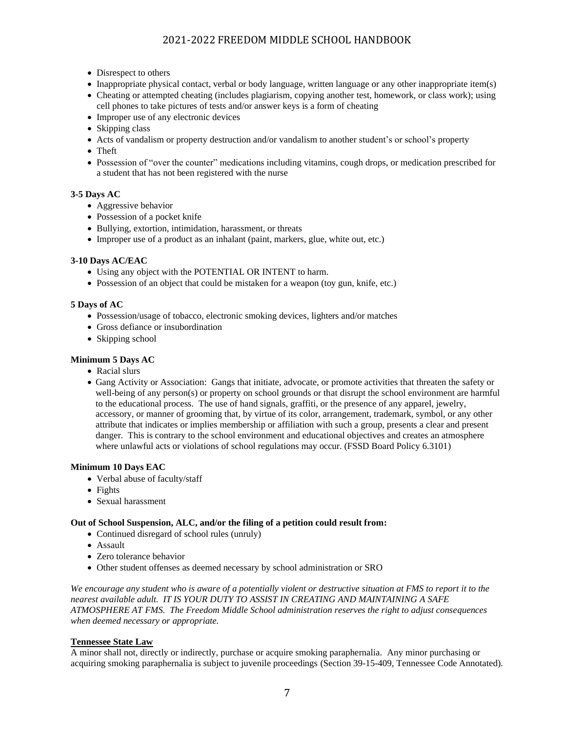- Disrespect to others
- Inappropriate physical contact, verbal or body language, written language or any other inappropriate item(s)
- Cheating or attempted cheating (includes plagiarism, copying another test, homework, or class work); using cell phones to take pictures of tests and/or answer keys is a form of cheating
- Improper use of any electronic devices
- Skipping class
- Acts of vandalism or property destruction and/or vandalism to another student's or school's property
- Theft
- Possession of "over the counter" medications including vitamins, cough drops, or medication prescribed for a student that has not been registered with the nurse

### **3-5 Days AC**

- Aggressive behavior
- Possession of a pocket knife
- Bullying, extortion, intimidation, harassment, or threats
- Improper use of a product as an inhalant (paint, markers, glue, white out, etc.)

### **3-10 Days AC/EAC**

- Using any object with the POTENTIAL OR INTENT to harm.
- Possession of an object that could be mistaken for a weapon (toy gun, knife, etc.)

### **5 Days of AC**

- Possession/usage of tobacco, electronic smoking devices, lighters and/or matches
- Gross defiance or insubordination
- Skipping school

### **Minimum 5 Days AC**

- Racial slurs
- Gang Activity or Association: Gangs that initiate, advocate, or promote activities that threaten the safety or well-being of any person(s) or property on school grounds or that disrupt the school environment are harmful to the educational process. The use of hand signals, graffiti, or the presence of any apparel, jewelry, accessory, or manner of grooming that, by virtue of its color, arrangement, trademark, symbol, or any other attribute that indicates or implies membership or affiliation with such a group, presents a clear and present danger. This is contrary to the school environment and educational objectives and creates an atmosphere where unlawful acts or violations of school regulations may occur. (FSSD Board Policy 6.3101)

### **Minimum 10 Days EAC**

- Verbal abuse of faculty/staff
- Fights
- Sexual harassment

### **Out of School Suspension, ALC, and/or the filing of a petition could result from:**

- Continued disregard of school rules (unruly)
- Assault
- Zero tolerance behavior
- Other student offenses as deemed necessary by school administration or SRO

*We encourage any student who is aware of a potentially violent or destructive situation at FMS to report it to the nearest available adult. IT IS YOUR DUTY TO ASSIST IN CREATING AND MAINTAINING A SAFE ATMOSPHERE AT FMS. The Freedom Middle School administration reserves the right to adjust consequences when deemed necessary or appropriate.*

### **Tennessee State Law**

A minor shall not, directly or indirectly, purchase or acquire smoking paraphernalia. Any minor purchasing or acquiring smoking paraphernalia is subject to juvenile proceedings (Section 39-15-409, Tennessee Code Annotated).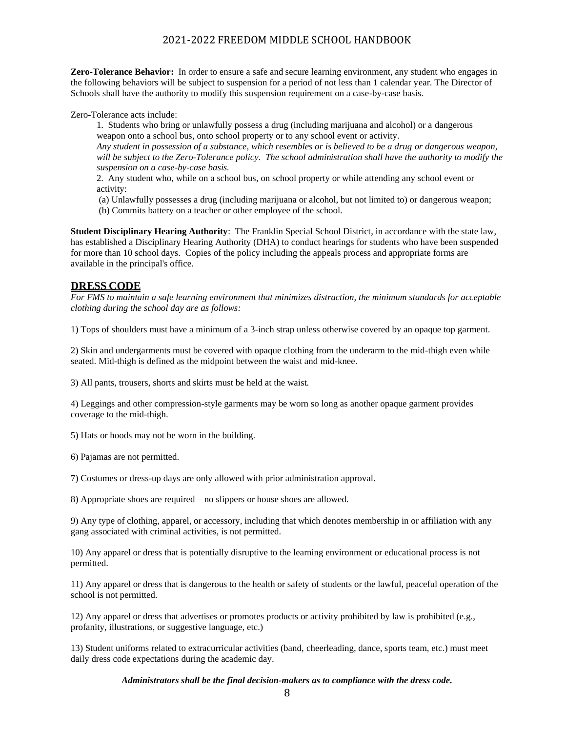**Zero-Tolerance Behavior:** In order to ensure a safe and secure learning environment, any student who engages in the following behaviors will be subject to suspension for a period of not less than 1 calendar year. The Director of Schools shall have the authority to modify this suspension requirement on a case-by-case basis.

Zero-Tolerance acts include:

1. Students who bring or unlawfully possess a drug (including marijuana and alcohol) or a dangerous weapon onto a school bus, onto school property or to any school event or activity. *Any student in possession of a substance, which resembles or is believed to be a drug or dangerous weapon,*  will be subject to the Zero-Tolerance policy. The school administration shall have the authority to modify the

*suspension on a case-by-case basis.* 2. Any student who, while on a school bus, on school property or while attending any school event or

activity: (a) Unlawfully possesses a drug (including marijuana or alcohol, but not limited to) or dangerous weapon;

(b) Commits battery on a teacher or other employee of the school.

**Student Disciplinary Hearing Authority**: The Franklin Special School District, in accordance with the state law, has established a Disciplinary Hearing Authority (DHA) to conduct hearings for students who have been suspended for more than 10 school days. Copies of the policy including the appeals process and appropriate forms are available in the principal's office.

## **DRESS CODE**

*For FMS to maintain a safe learning environment that minimizes distraction, the minimum standards for acceptable clothing during the school day are as follows:*

1) Tops of shoulders must have a minimum of a 3-inch strap unless otherwise covered by an opaque top garment.

2) Skin and undergarments must be covered with opaque clothing from the underarm to the mid-thigh even while seated. Mid-thigh is defined as the midpoint between the waist and mid-knee.

3) All pants, trousers, shorts and skirts must be held at the waist.

4) Leggings and other compression-style garments may be worn so long as another opaque garment provides coverage to the mid-thigh.

5) Hats or hoods may not be worn in the building.

6) Pajamas are not permitted.

7) Costumes or dress-up days are only allowed with prior administration approval.

8) Appropriate shoes are required – no slippers or house shoes are allowed.

9) Any type of clothing, apparel, or accessory, including that which denotes membership in or affiliation with any gang associated with criminal activities, is not permitted.

10) Any apparel or dress that is potentially disruptive to the learning environment or educational process is not permitted.

11) Any apparel or dress that is dangerous to the health or safety of students or the lawful, peaceful operation of the school is not permitted.

12) Any apparel or dress that advertises or promotes products or activity prohibited by law is prohibited (e.g., profanity, illustrations, or suggestive language, etc.)

13) Student uniforms related to extracurricular activities (band, cheerleading, dance, sports team, etc.) must meet daily dress code expectations during the academic day.

*Administrators shall be the final decision-makers as to compliance with the dress code.*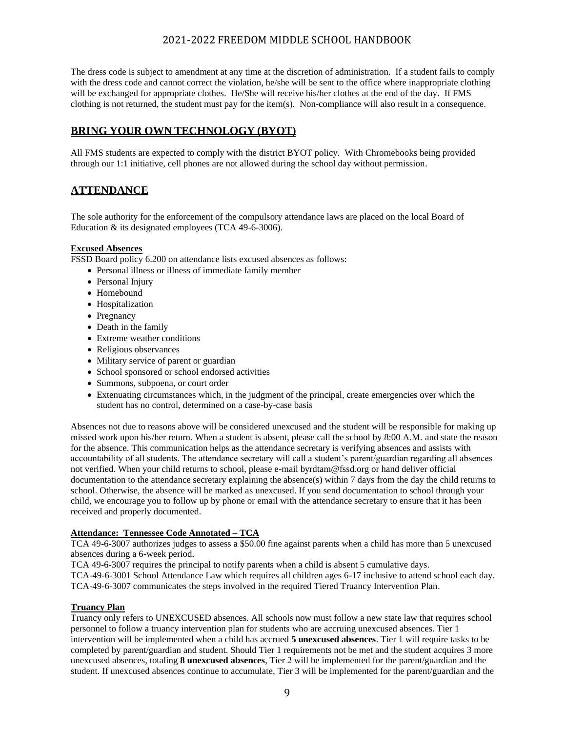The dress code is subject to amendment at any time at the discretion of administration. If a student fails to comply with the dress code and cannot correct the violation, he/she will be sent to the office where inappropriate clothing will be exchanged for appropriate clothes. He/She will receive his/her clothes at the end of the day. If FMS clothing is not returned, the student must pay for the item(s). Non-compliance will also result in a consequence.

# **BRING YOUR OWN TECHNOLOGY (BYOT)**

All FMS students are expected to comply with the district BYOT policy. With Chromebooks being provided through our 1:1 initiative, cell phones are not allowed during the school day without permission.

# **ATTENDANCE**

The sole authority for the enforcement of the compulsory attendance laws are placed on the local Board of Education & its designated employees (TCA 49-6-3006).

### **Excused Absences**

FSSD Board policy 6.200 on attendance lists excused absences as follows:

- Personal illness or illness of immediate family member
- Personal Injury
- Homebound
- Hospitalization
- Pregnancy
- Death in the family
- Extreme weather conditions
- Religious observances
- Military service of parent or guardian
- School sponsored or school endorsed activities
- Summons, subpoena, or court order
- Extenuating circumstances which, in the judgment of the principal, create emergencies over which the student has no control, determined on a case-by-case basis

Absences not due to reasons above will be considered unexcused and the student will be responsible for making up missed work upon his/her return. When a student is absent, please call the school by 8:00 A.M. and state the reason for the absence. This communication helps as the attendance secretary is verifying absences and assists with accountability of all students. The attendance secretary will call a student's parent/guardian regarding all absences not verified. When your child returns to school, please e-mail byrdtam@fssd.org or hand deliver official documentation to the attendance secretary explaining the absence(s) within 7 days from the day the child returns to school. Otherwise, the absence will be marked as unexcused. If you send documentation to school through your child, we encourage you to follow up by phone or email with the attendance secretary to ensure that it has been received and properly documented.

### **Attendance: Tennessee Code Annotated – TCA**

TCA 49-6-3007 authorizes judges to assess a \$50.00 fine against parents when a child has more than 5 unexcused absences during a 6-week period.

TCA 49-6-3007 requires the principal to notify parents when a child is absent 5 cumulative days.

TCA-49-6-3001 School Attendance Law which requires all children ages 6-17 inclusive to attend school each day. TCA-49-6-3007 communicates the steps involved in the required Tiered Truancy Intervention Plan.

## **Truancy Plan**

Truancy only refers to UNEXCUSED absences. All schools now must follow a new state law that requires school personnel to follow a truancy intervention plan for students who are accruing unexcused absences. Tier 1 intervention will be implemented when a child has accrued **5 unexcused absences**. Tier 1 will require tasks to be completed by parent/guardian and student. Should Tier 1 requirements not be met and the student acquires 3 more unexcused absences, totaling **8 unexcused absences**, Tier 2 will be implemented for the parent/guardian and the student. If unexcused absences continue to accumulate, Tier 3 will be implemented for the parent/guardian and the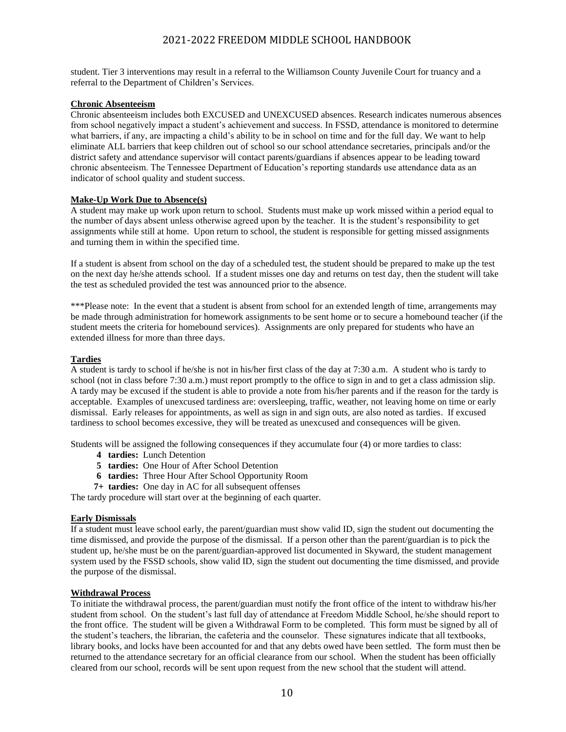student. Tier 3 interventions may result in a referral to the Williamson County Juvenile Court for truancy and a referral to the Department of Children's Services.

### **Chronic Absenteeism**

Chronic absenteeism includes both EXCUSED and UNEXCUSED absences. Research indicates numerous absences from school negatively impact a student's achievement and success. In FSSD, attendance is monitored to determine what barriers, if any, are impacting a child's ability to be in school on time and for the full day. We want to help eliminate ALL barriers that keep children out of school so our school attendance secretaries, principals and/or the district safety and attendance supervisor will contact parents/guardians if absences appear to be leading toward chronic absenteeism. The Tennessee Department of Education's reporting standards use attendance data as an indicator of school quality and student success.

#### **Make-Up Work Due to Absence(s)**

A student may make up work upon return to school. Students must make up work missed within a period equal to the number of days absent unless otherwise agreed upon by the teacher. It is the student's responsibility to get assignments while still at home. Upon return to school, the student is responsible for getting missed assignments and turning them in within the specified time.

If a student is absent from school on the day of a scheduled test, the student should be prepared to make up the test on the next day he/she attends school. If a student misses one day and returns on test day, then the student will take the test as scheduled provided the test was announced prior to the absence.

\*\*\*Please note: In the event that a student is absent from school for an extended length of time, arrangements may be made through administration for homework assignments to be sent home or to secure a homebound teacher (if the student meets the criteria for homebound services). Assignments are only prepared for students who have an extended illness for more than three days.

#### **Tardies**

A student is tardy to school if he/she is not in his/her first class of the day at 7:30 a.m. A student who is tardy to school (not in class before 7:30 a.m.) must report promptly to the office to sign in and to get a class admission slip. A tardy may be excused if the student is able to provide a note from his/her parents and if the reason for the tardy is acceptable. Examples of unexcused tardiness are: oversleeping, traffic, weather, not leaving home on time or early dismissal. Early releases for appointments, as well as sign in and sign outs, are also noted as tardies. If excused tardiness to school becomes excessive, they will be treated as unexcused and consequences will be given.

Students will be assigned the following consequences if they accumulate four (4) or more tardies to class:

- **4 tardies:** Lunch Detention
- **5 tardies:** One Hour of After School Detention
- **6 tardies:** Three Hour After School Opportunity Room
- **7+ tardies:** One day in AC for all subsequent offenses

The tardy procedure will start over at the beginning of each quarter.

#### **Early Dismissals**

If a student must leave school early, the parent/guardian must show valid ID, sign the student out documenting the time dismissed, and provide the purpose of the dismissal. If a person other than the parent/guardian is to pick the student up, he/she must be on the parent/guardian-approved list documented in Skyward, the student management system used by the FSSD schools, show valid ID, sign the student out documenting the time dismissed, and provide the purpose of the dismissal.

#### **Withdrawal Process**

To initiate the withdrawal process, the parent/guardian must notify the front office of the intent to withdraw his/her student from school. On the student's last full day of attendance at Freedom Middle School, he/she should report to the front office. The student will be given a Withdrawal Form to be completed. This form must be signed by all of the student's teachers, the librarian, the cafeteria and the counselor. These signatures indicate that all textbooks, library books, and locks have been accounted for and that any debts owed have been settled. The form must then be returned to the attendance secretary for an official clearance from our school. When the student has been officially cleared from our school, records will be sent upon request from the new school that the student will attend.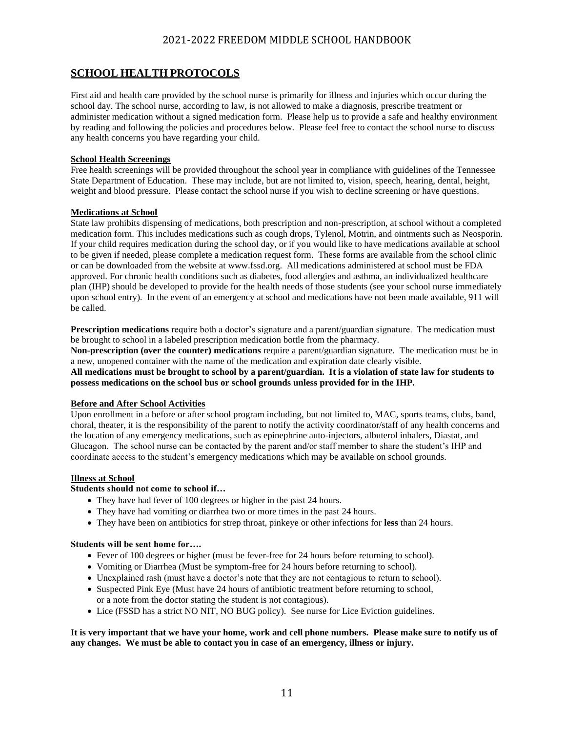# **SCHOOL HEALTH PROTOCOLS**

First aid and health care provided by the school nurse is primarily for illness and injuries which occur during the school day. The school nurse, according to law, is not allowed to make a diagnosis, prescribe treatment or administer medication without a signed medication form. Please help us to provide a safe and healthy environment by reading and following the policies and procedures below. Please feel free to contact the school nurse to discuss any health concerns you have regarding your child.

### **School Health Screenings**

Free health screenings will be provided throughout the school year in compliance with guidelines of the Tennessee State Department of Education. These may include, but are not limited to, vision, speech, hearing, dental, height, weight and blood pressure. Please contact the school nurse if you wish to decline screening or have questions.

### **Medications at School**

State law prohibits dispensing of medications, both prescription and non-prescription, at school without a completed medication form. This includes medications such as cough drops, Tylenol, Motrin, and ointments such as Neosporin. If your child requires medication during the school day, or if you would like to have medications available at school to be given if needed, please complete a medication request form. These forms are available from the school clinic or can be downloaded from the website a[t www.fssd.org.](http://www.fssd.org/) All medications administered at school must be FDA approved. For chronic health conditions such as diabetes, food allergies and asthma, an individualized healthcare plan (IHP) should be developed to provide for the health needs of those students (see your school nurse immediately upon school entry). In the event of an emergency at school and medications have not been made available, 911 will be called.

**Prescription medications** require both a doctor's signature and a parent/guardian signature. The medication must be brought to school in a labeled prescription medication bottle from the pharmacy.

**Non-prescription (over the counter) medications** require a parent/guardian signature. The medication must be in a new, unopened container with the name of the medication and expiration date clearly visible.

**All medications must be brought to school by a parent/guardian. It is a violation of state law for students to possess medications on the school bus or school grounds unless provided for in the IHP.**

### **Before and After School Activities**

Upon enrollment in a before or after school program including, but not limited to, MAC, sports teams, clubs, band, choral, theater, it is the responsibility of the parent to notify the activity coordinator/staff of any health concerns and the location of any emergency medications, such as epinephrine auto-injectors, albuterol inhalers, Diastat, and Glucagon. The school nurse can be contacted by the parent and/or staff member to share the student's IHP and coordinate access to the student's emergency medications which may be available on school grounds.

### **Illness at School**

### **Students should not come to school if…**

- They have had fever of 100 degrees or higher in the past 24 hours.
- They have had vomiting or diarrhea two or more times in the past 24 hours.
- They have been on antibiotics for strep throat, pinkeye or other infections for **less** than 24 hours.

### **Students will be sent home for….**

- Fever of 100 degrees or higher (must be fever-free for 24 hours before returning to school).
- Vomiting or Diarrhea (Must be symptom-free for 24 hours before returning to school).
- Unexplained rash (must have a doctor's note that they are not contagious to return to school).
- Suspected Pink Eye (Must have 24 hours of antibiotic treatment before returning to school, or a note from the doctor stating the student is not contagious).
- Lice (FSSD has a strict NO NIT, NO BUG policy). See nurse for Lice Eviction guidelines.

### **It is very important that we have your home, work and cell phone numbers. Please make sure to notify us of any changes. We must be able to contact you in case of an emergency, illness or injury.**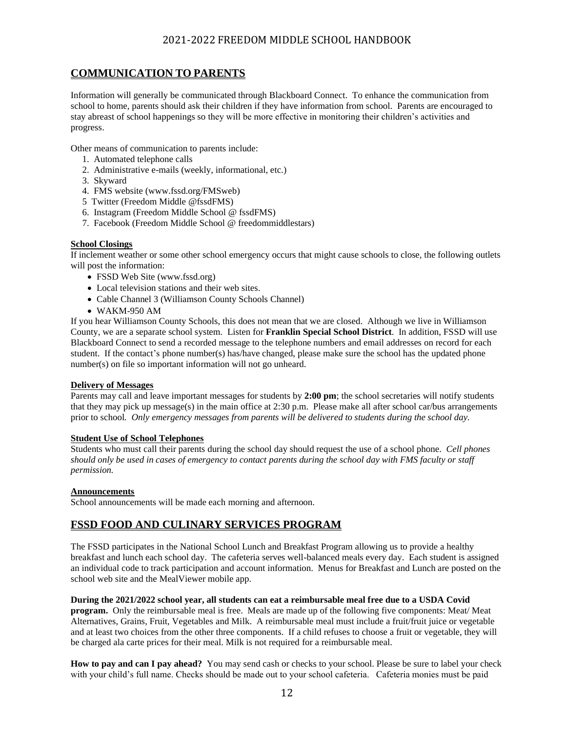# **COMMUNICATION TO PARENTS**

Information will generally be communicated through Blackboard Connect. To enhance the communication from school to home, parents should ask their children if they have information from school. Parents are encouraged to stay abreast of school happenings so they will be more effective in monitoring their children's activities and progress.

Other means of communication to parents include:

- 1. Automated telephone calls
- 2. Administrative e-mails (weekly, informational, etc.)
- 3. Skyward
- 4. FMS website [\(www.fssd.org/FMSweb\)](http://www.fssd.org/FMSweb)
- 5 Twitter (Freedom Middle @fssdFMS)
- 6. Instagram (Freedom Middle School @ fssdFMS)
- 7. Facebook (Freedom Middle School @ freedommiddlestars)

### **School Closings**

If inclement weather or some other school emergency occurs that might cause schools to close, the following outlets will post the information:

- FSSD Web Site [\(www.fssd.org\)](http://www.fssd.org/)
- Local television stations and their web sites.
- Cable Channel 3 (Williamson County Schools Channel)
- WAKM-950 AM

If you hear Williamson County Schools, this does not mean that we are closed. Although we live in Williamson County, we are a separate school system. Listen for **Franklin Special School District**. In addition, FSSD will use Blackboard Connect to send a recorded message to the telephone numbers and email addresses on record for each student. If the contact's phone number(s) has/have changed, please make sure the school has the updated phone number(s) on file so important information will not go unheard.

#### **Delivery of Messages**

Parents may call and leave important messages for students by **2:00 pm**; the school secretaries will notify students that they may pick up message(s) in the main office at 2:30 p.m. Please make all after school car/bus arrangements prior to school*. Only emergency messages from parents will be delivered to students during the school day.*

#### **Student Use of School Telephones**

Students who must call their parents during the school day should request the use of a school phone. *Cell phones should only be used in cases of emergency to contact parents during the school day with FMS faculty or staff permission.*

#### **Announcements**

School announcements will be made each morning and afternoon.

## **FSSD FOOD AND CULINARY SERVICES PROGRAM**

The FSSD participates in the National School Lunch and Breakfast Program allowing us to provide a healthy breakfast and lunch each school day. The cafeteria serves well-balanced meals every day. Each student is assigned an individual code to track participation and account information. Menus for Breakfast and Lunch are posted on the school web site and the MealViewer mobile app.

### **During the 2021/2022 school year, all students can eat a reimbursable meal free due to a USDA Covid**

**program.** Only the reimbursable meal is free. Meals are made up of the following five components: Meat/ Meat Alternatives, Grains, Fruit, Vegetables and Milk. A reimbursable meal must include a fruit/fruit juice or vegetable and at least two choices from the other three components. If a child refuses to choose a fruit or vegetable, they will be charged ala carte prices for their meal. Milk is not required for a reimbursable meal.

**How to pay and can I pay ahead?** You may send cash or checks to your school. Please be sure to label your check with your child's full name. Checks should be made out to your school cafeteria. Cafeteria monies must be paid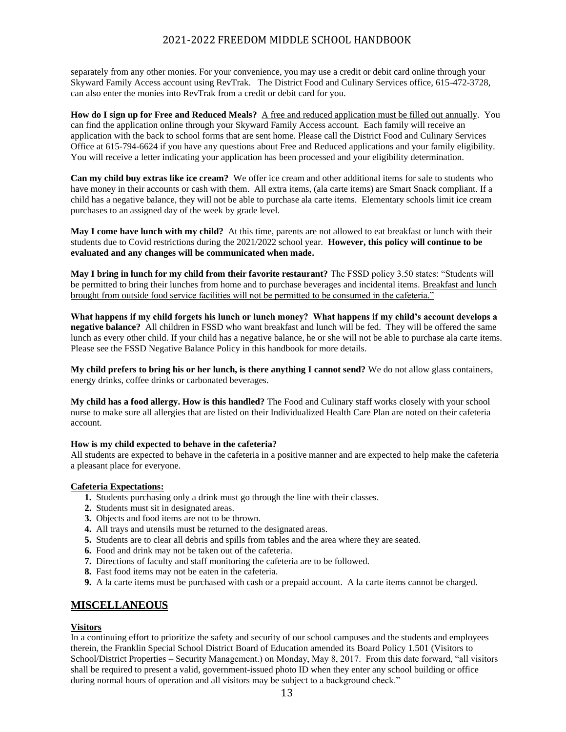separately from any other monies. For your convenience, you may use a credit or debit card online through your Skyward Family Access account using RevTrak. The District Food and Culinary Services office, 615-472-3728, can also enter the monies into RevTrak from a credit or debit card for you.

**How do I sign up for Free and Reduced Meals?** A free and reduced application must be filled out annually. You can find the application online through your Skyward Family Access account. Each family will receive an application with the back to school forms that are sent home. Please call the District Food and Culinary Services Office at 615-794-6624 if you have any questions about Free and Reduced applications and your family eligibility. You will receive a letter indicating your application has been processed and your eligibility determination.

**Can my child buy extras like ice cream?** We offer ice cream and other additional items for sale to students who have money in their accounts or cash with them. All extra items, (ala carte items) are Smart Snack compliant. If a child has a negative balance, they will not be able to purchase ala carte items. Elementary schools limit ice cream purchases to an assigned day of the week by grade level.

**May I come have lunch with my child?** At this time, parents are not allowed to eat breakfast or lunch with their students due to Covid restrictions during the 2021/2022 school year. **However, this policy will continue to be evaluated and any changes will be communicated when made.**

**May I bring in lunch for my child from their favorite restaurant?** The FSSD policy 3.50 states: "Students will be permitted to bring their lunches from home and to purchase beverages and incidental items. Breakfast and lunch brought from outside food service facilities will not be permitted to be consumed in the cafeteria."

**What happens if my child forgets his lunch or lunch money? What happens if my child's account develops a negative balance?** All children in FSSD who want breakfast and lunch will be fed. They will be offered the same lunch as every other child. If your child has a negative balance, he or she will not be able to purchase ala carte items. Please see the FSSD Negative Balance Policy in this handbook for more details.

**My child prefers to bring his or her lunch, is there anything I cannot send?** We do not allow glass containers, energy drinks, coffee drinks or carbonated beverages.

**My child has a food allergy. How is this handled?** The Food and Culinary staff works closely with your school nurse to make sure all allergies that are listed on their Individualized Health Care Plan are noted on their cafeteria account.

### **How is my child expected to behave in the cafeteria?**

All students are expected to behave in the cafeteria in a positive manner and are expected to help make the cafeteria a pleasant place for everyone.

### **Cafeteria Expectations:**

- **1.** Students purchasing only a drink must go through the line with their classes.
- **2.** Students must sit in designated areas.
- **3.** Objects and food items are not to be thrown.
- **4.** All trays and utensils must be returned to the designated areas.
- **5.** Students are to clear all debris and spills from tables and the area where they are seated.
- **6.** Food and drink may not be taken out of the cafeteria.
- **7.** Directions of faculty and staff monitoring the cafeteria are to be followed.
- **8.** Fast food items may not be eaten in the cafeteria.
- **9.** A la carte items must be purchased with cash or a prepaid account. A la carte items cannot be charged.

## **MISCELLANEOUS**

### **Visitors**

In a continuing effort to prioritize the safety and security of our school campuses and the students and employees therein, the Franklin Special School District Board of Education amended its Board Policy 1.501 (Visitors to School/District Properties – Security Management.) on Monday, May 8, 2017. From this date forward, "all visitors shall be required to present a valid, government-issued photo ID when they enter any school building or office during normal hours of operation and all visitors may be subject to a background check."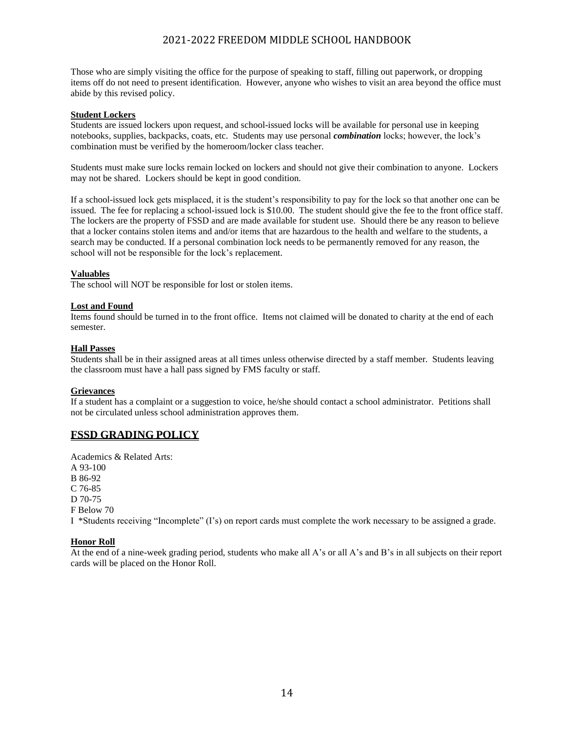Those who are simply visiting the office for the purpose of speaking to staff, filling out paperwork, or dropping items off do not need to present identification. However, anyone who wishes to visit an area beyond the office must abide by this revised policy.

### **Student Lockers**

Students are issued lockers upon request, and school-issued locks will be available for personal use in keeping notebooks, supplies, backpacks, coats, etc. Students may use personal *combination* locks; however, the lock's combination must be verified by the homeroom/locker class teacher.

Students must make sure locks remain locked on lockers and should not give their combination to anyone. Lockers may not be shared. Lockers should be kept in good condition.

If a school-issued lock gets misplaced, it is the student's responsibility to pay for the lock so that another one can be issued. The fee for replacing a school-issued lock is \$10.00. The student should give the fee to the front office staff. The lockers are the property of FSSD and are made available for student use. Should there be any reason to believe that a locker contains stolen items and and/or items that are hazardous to the health and welfare to the students, a search may be conducted. If a personal combination lock needs to be permanently removed for any reason, the school will not be responsible for the lock's replacement.

#### **Valuables**

The school will NOT be responsible for lost or stolen items.

#### **Lost and Found**

Items found should be turned in to the front office. Items not claimed will be donated to charity at the end of each semester.

#### **Hall Passes**

Students shall be in their assigned areas at all times unless otherwise directed by a staff member. Students leaving the classroom must have a hall pass signed by FMS faculty or staff.

### **Grievances**

If a student has a complaint or a suggestion to voice, he/she should contact a school administrator. Petitions shall not be circulated unless school administration approves them.

## **FSSD GRADING POLICY**

Academics & Related Arts: A 93-100 B 86-92 C 76-85 D 70-75 F Below 70 I \*Students receiving "Incomplete" (I's) on report cards must complete the work necessary to be assigned a grade.

### **Honor Roll**

At the end of a nine-week grading period, students who make all A's or all A's and B's in all subjects on their report cards will be placed on the Honor Roll.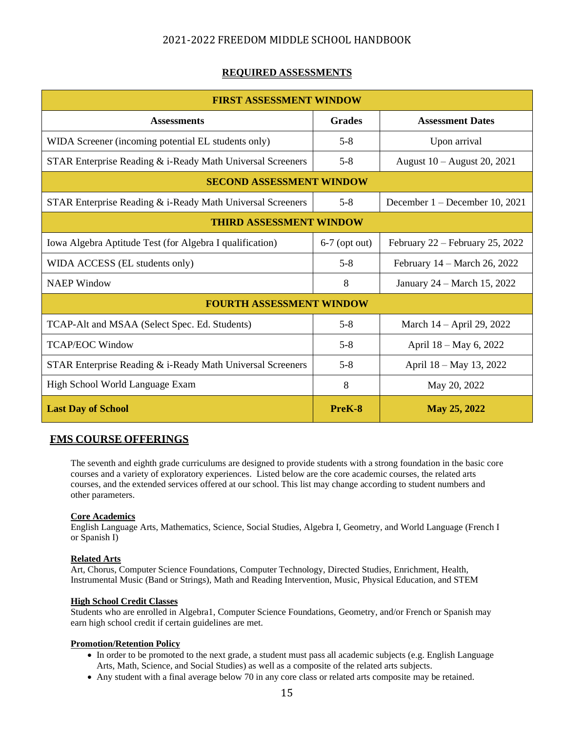## **REQUIRED ASSESSMENTS**

| <b>FIRST ASSESSMENT WINDOW</b>                             |                 |                                   |  |  |
|------------------------------------------------------------|-----------------|-----------------------------------|--|--|
| <b>Assessments</b>                                         | <b>Grades</b>   | <b>Assessment Dates</b>           |  |  |
| WIDA Screener (incoming potential EL students only)        | $5 - 8$         | Upon arrival                      |  |  |
| STAR Enterprise Reading & i-Ready Math Universal Screeners | $5 - 8$         | August 10 – August 20, 2021       |  |  |
| <b>SECOND ASSESSMENT WINDOW</b>                            |                 |                                   |  |  |
| STAR Enterprise Reading & i-Ready Math Universal Screeners | $5 - 8$         | December 1 – December 10, 2021    |  |  |
| <b>THIRD ASSESSMENT WINDOW</b>                             |                 |                                   |  |  |
| Iowa Algebra Aptitude Test (for Algebra I qualification)   | $6-7$ (opt out) | February $22$ – February 25, 2022 |  |  |
| WIDA ACCESS (EL students only)                             | $5 - 8$         | February 14 – March 26, 2022      |  |  |
| <b>NAEP</b> Window                                         | 8               | January 24 – March 15, 2022       |  |  |
| <b>FOURTH ASSESSMENT WINDOW</b>                            |                 |                                   |  |  |
| TCAP-Alt and MSAA (Select Spec. Ed. Students)              | $5 - 8$         | March 14 – April 29, 2022         |  |  |
| <b>TCAP/EOC Window</b>                                     | $5 - 8$         | April 18 – May 6, 2022            |  |  |
| STAR Enterprise Reading & i-Ready Math Universal Screeners | $5 - 8$         | April 18 - May 13, 2022           |  |  |
| High School World Language Exam                            | 8               | May 20, 2022                      |  |  |
| <b>Last Day of School</b>                                  | PreK-8          | May 25, 2022                      |  |  |

## **FMS COURSE OFFERINGS**

The seventh and eighth grade curriculums are designed to provide students with a strong foundation in the basic core courses and a variety of exploratory experiences. Listed below are the core academic courses, the related arts courses, and the extended services offered at our school. This list may change according to student numbers and other parameters.

### **Core Academics**

English Language Arts, Mathematics, Science, Social Studies, Algebra I, Geometry, and World Language (French I or Spanish I)

### **Related Arts**

Art, Chorus, Computer Science Foundations, Computer Technology, Directed Studies, Enrichment, Health, Instrumental Music (Band or Strings), Math and Reading Intervention, Music, Physical Education, and STEM

### **High School Credit Classes**

Students who are enrolled in Algebra1, Computer Science Foundations, Geometry, and/or French or Spanish may earn high school credit if certain guidelines are met.

### **Promotion/Retention Policy**

- In order to be promoted to the next grade, a student must pass all academic subjects (e.g. English Language Arts, Math, Science, and Social Studies) as well as a composite of the related arts subjects.
- Any student with a final average below 70 in any core class or related arts composite may be retained.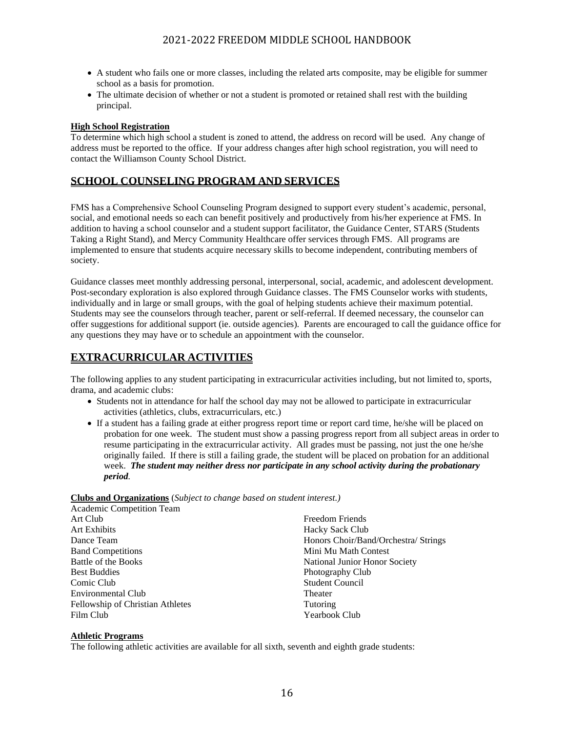- A student who fails one or more classes, including the related arts composite, may be eligible for summer school as a basis for promotion.
- The ultimate decision of whether or not a student is promoted or retained shall rest with the building principal.

### **High School Registration**

To determine which high school a student is zoned to attend, the address on record will be used. Any change of address must be reported to the office. If your address changes after high school registration, you will need to contact the Williamson County School District.

## **SCHOOL COUNSELING PROGRAM AND SERVICES**

FMS has a Comprehensive School Counseling Program designed to support every student's academic, personal, social, and emotional needs so each can benefit positively and productively from his/her experience at FMS. In addition to having a school counselor and a student support facilitator, the Guidance Center, STARS (Students Taking a Right Stand), and Mercy Community Healthcare offer services through FMS. All programs are implemented to ensure that students acquire necessary skills to become independent, contributing members of society.

Guidance classes meet monthly addressing personal, interpersonal, social, academic, and adolescent development. Post-secondary exploration is also explored through Guidance classes. The FMS Counselor works with students, individually and in large or small groups, with the goal of helping students achieve their maximum potential. Students may see the counselors through teacher, parent or self-referral. If deemed necessary, the counselor can offer suggestions for additional support (ie. outside agencies). Parents are encouraged to call the guidance office for any questions they may have or to schedule an appointment with the counselor.

## **EXTRACURRICULAR ACTIVITIES**

The following applies to any student participating in extracurricular activities including, but not limited to, sports, drama, and academic clubs:

- Students not in attendance for half the school day may not be allowed to participate in extracurricular activities (athletics, clubs, extracurriculars, etc.)
- If a student has a failing grade at either progress report time or report card time, he/she will be placed on probation for one week. The student must show a passing progress report from all subject areas in order to resume participating in the extracurricular activity. All grades must be passing, not just the one he/she originally failed. If there is still a failing grade, the student will be placed on probation for an additional week. *The student may neither dress nor participate in any school activity during the probationary period.*

### **Clubs and Organizations** (*Subject to change based on student interest.)*

| Academic Competition Team        |                                      |
|----------------------------------|--------------------------------------|
| Art Club                         | Freedom Friends                      |
| <b>Art Exhibits</b>              | <b>Hacky Sack Club</b>               |
| Dance Team                       | Honors Choir/Band/Orchestra/ Strings |
| <b>Band Competitions</b>         | Mini Mu Math Contest                 |
| Battle of the Books              | National Junior Honor Society        |
| <b>Best Buddies</b>              | Photography Club                     |
| Comic Club                       | <b>Student Council</b>               |
| Environmental Club               | Theater                              |
| Fellowship of Christian Athletes | Tutoring                             |
| Film Club                        | Yearbook Club                        |

### **Athletic Programs**

The following athletic activities are available for all sixth, seventh and eighth grade students: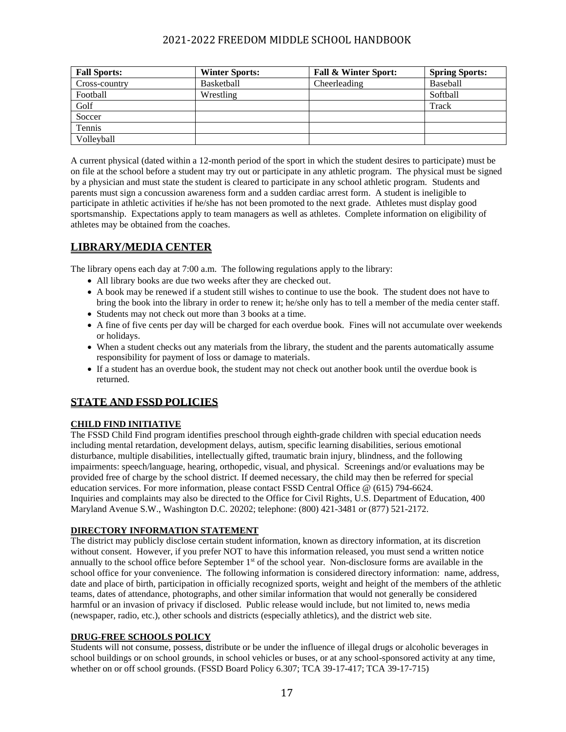| <b>Fall Sports:</b> | <b>Winter Sports:</b> | <b>Fall &amp; Winter Sport:</b> | <b>Spring Sports:</b> |
|---------------------|-----------------------|---------------------------------|-----------------------|
| Cross-country       | Basketball            | Cheerleading                    | Baseball              |
| Football            | Wrestling             |                                 | Softball              |
| Golf                |                       |                                 | Track                 |
| Soccer              |                       |                                 |                       |
| Tennis              |                       |                                 |                       |
| Volleyball          |                       |                                 |                       |

A current physical (dated within a 12-month period of the sport in which the student desires to participate) must be on file at the school before a student may try out or participate in any athletic program. The physical must be signed by a physician and must state the student is cleared to participate in any school athletic program. Students and parents must sign a concussion awareness form and a sudden cardiac arrest form. A student is ineligible to participate in athletic activities if he/she has not been promoted to the next grade. Athletes must display good sportsmanship. Expectations apply to team managers as well as athletes. Complete information on eligibility of athletes may be obtained from the coaches.

# **LIBRARY/MEDIA CENTER**

The library opens each day at 7:00 a.m. The following regulations apply to the library:

- All library books are due two weeks after they are checked out.
- A book may be renewed if a student still wishes to continue to use the book. The student does not have to bring the book into the library in order to renew it; he/she only has to tell a member of the media center staff.
- Students may not check out more than 3 books at a time.
- A fine of five cents per day will be charged for each overdue book. Fines will not accumulate over weekends or holidays.
- When a student checks out any materials from the library, the student and the parents automatically assume responsibility for payment of loss or damage to materials.
- If a student has an overdue book, the student may not check out another book until the overdue book is returned.

# **STATE AND FSSD POLICIES**

## **CHILD FIND INITIATIVE**

The FSSD Child Find program identifies preschool through eighth-grade children with special education needs including mental retardation, development delays, autism, specific learning disabilities, serious emotional disturbance, multiple disabilities, intellectually gifted, traumatic brain injury, blindness, and the following impairments: speech/language, hearing, orthopedic, visual, and physical. Screenings and/or evaluations may be provided free of charge by the school district. If deemed necessary, the child may then be referred for special education services. For more information, please contact FSSD Central Office @ (615) 794-6624. Inquiries and complaints may also be directed to the Office for Civil Rights, U.S. Department of Education, 400 Maryland Avenue S.W., Washington D.C. 20202; telephone: (800) 421-3481 or (877) 521-2172.

## **DIRECTORY INFORMATION STATEMENT**

The district may publicly disclose certain student information, known as directory information, at its discretion without consent. However, if you prefer NOT to have this information released, you must send a written notice annually to the school office before September  $1<sup>st</sup>$  of the school year. Non-disclosure forms are available in the school office for your convenience. The following information is considered directory information: name, address, date and place of birth, participation in officially recognized sports, weight and height of the members of the athletic teams, dates of attendance, photographs, and other similar information that would not generally be considered harmful or an invasion of privacy if disclosed. Public release would include, but not limited to, news media (newspaper, radio, etc.), other schools and districts (especially athletics), and the district web site.

## **DRUG-FREE SCHOOLS POLICY**

Students will not consume, possess, distribute or be under the influence of illegal drugs or alcoholic beverages in school buildings or on school grounds, in school vehicles or buses, or at any school-sponsored activity at any time, whether on or off school grounds. (FSSD Board Policy 6.307; TCA 39-17-417; TCA 39-17-715)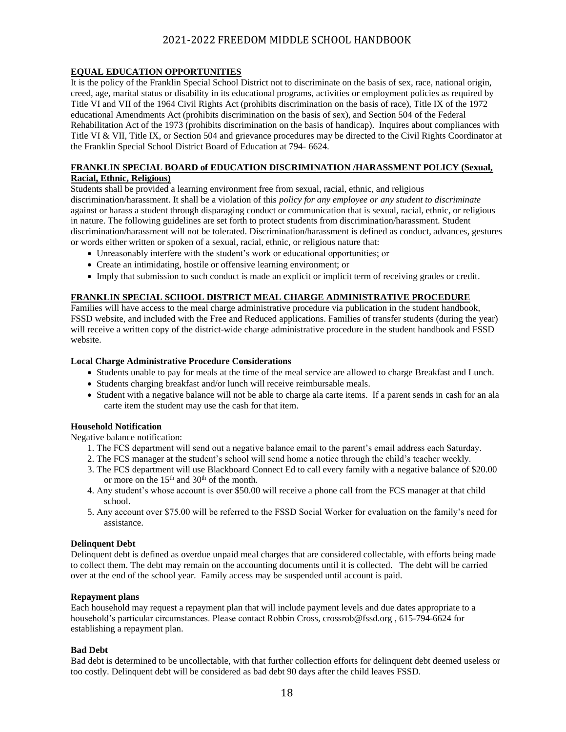### **EQUAL EDUCATION OPPORTUNITIES**

It is the policy of the Franklin Special School District not to discriminate on the basis of sex, race, national origin, creed, age, marital status or disability in its educational programs, activities or employment policies as required by Title VI and VII of the 1964 Civil Rights Act (prohibits discrimination on the basis of race), Title IX of the 1972 educational Amendments Act (prohibits discrimination on the basis of sex), and Section 504 of the Federal Rehabilitation Act of the 1973 (prohibits discrimination on the basis of handicap). Inquires about compliances with Title VI & VII, Title IX, or Section 504 and grievance procedures may be directed to the Civil Rights Coordinator at the Franklin Special School District Board of Education at 794- 6624.

### **FRANKLIN SPECIAL BOARD of EDUCATION DISCRIMINATION /HARASSMENT POLICY (Sexual, Racial, Ethnic, Religious)**

Students shall be provided a learning environment free from sexual, racial, ethnic, and religious discrimination/harassment. It shall be a violation of this *policy for any employee or any student to discriminate*  against or harass a student through disparaging conduct or communication that is sexual, racial, ethnic, or religious in nature. The following guidelines are set forth to protect students from discrimination/harassment. Student discrimination/harassment will not be tolerated. Discrimination/harassment is defined as conduct, advances, gestures or words either written or spoken of a sexual, racial, ethnic, or religious nature that:

- Unreasonably interfere with the student's work or educational opportunities; or
- Create an intimidating, hostile or offensive learning environment; or
- Imply that submission to such conduct is made an explicit or implicit term of receiving grades or credit.

### **FRANKLIN SPECIAL SCHOOL DISTRICT MEAL CHARGE ADMINISTRATIVE PROCEDURE**

Families will have access to the meal charge administrative procedure via publication in the student handbook, FSSD website, and included with the Free and Reduced applications. Families of transfer students (during the year) will receive a written copy of the district-wide charge administrative procedure in the student handbook and FSSD website.

#### **Local Charge Administrative Procedure Considerations**

- Students unable to pay for meals at the time of the meal service are allowed to charge Breakfast and Lunch.
- Students charging breakfast and/or lunch will receive reimbursable meals.
- Student with a negative balance will not be able to charge ala carte items. If a parent sends in cash for an ala carte item the student may use the cash for that item.

### **Household Notification**

Negative balance notification:

- 1. The FCS department will send out a negative balance email to the parent's email address each Saturday.
- 2. The FCS manager at the student's school will send home a notice through the child's teacher weekly.
- 3. The FCS department will use Blackboard Connect Ed to call every family with a negative balance of \$20.00 or more on the  $15<sup>th</sup>$  and  $30<sup>th</sup>$  of the month.
- 4. Any student's whose account is over \$50.00 will receive a phone call from the FCS manager at that child school.
- 5. Any account over \$75.00 will be referred to the FSSD Social Worker for evaluation on the family's need for assistance.

#### **Delinquent Debt**

Delinquent debt is defined as overdue unpaid meal charges that are considered collectable, with efforts being made to collect them. The debt may remain on the accounting documents until it is collected. The debt will be carried over at the end of the school year. Family access may be suspended until account is paid.

### **Repayment plans**

Each household may request a repayment plan that will include payment levels and due dates appropriate to a household's particular circumstances. Please contact Robbin Cross, [crossrob@fssd.org](mailto:crossrob@fssd.org) , 615-794-6624 for establishing a repayment plan.

### **Bad Debt**

Bad debt is determined to be uncollectable, with that further collection efforts for delinquent debt deemed useless or too costly. Delinquent debt will be considered as bad debt 90 days after the child leaves FSSD.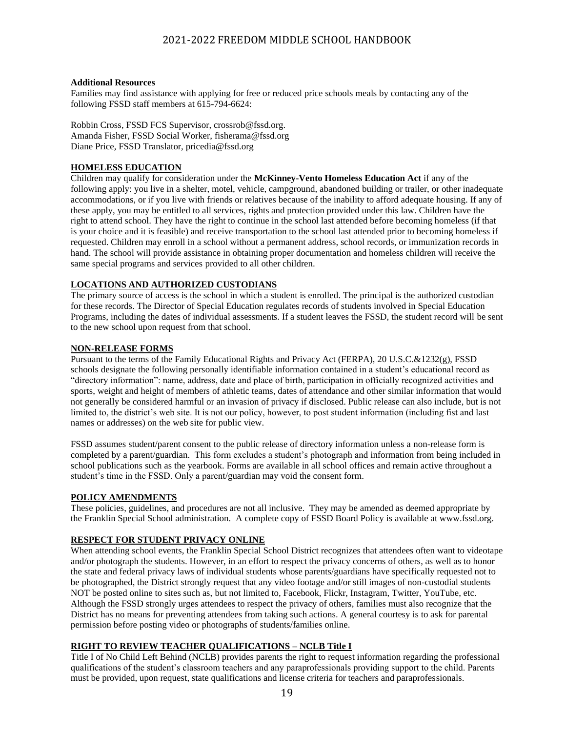#### **Additional Resources**

Families may find assistance with applying for free or reduced price schools meals by contacting any of the following FSSD staff members at 615-794-6624:

Robbin Cross, FSSD FCS Supervisor, [crossrob@fssd.org.](mailto:crossrob@fssd.org) Amanda Fisher, FSSD Social Worker, fisherama@fssd.org Diane Price, FSSD Translator, [pricedia@fssd.org](mailto:pricedia@fssd.org)

### **HOMELESS EDUCATION**

Children may qualify for consideration under the **McKinney-Vento Homeless Education Act** if any of the following apply: you live in a shelter, motel, vehicle, campground, abandoned building or trailer, or other inadequate accommodations, or if you live with friends or relatives because of the inability to afford adequate housing. If any of these apply, you may be entitled to all services, rights and protection provided under this law. Children have the right to attend school. They have the right to continue in the school last attended before becoming homeless (if that is your choice and it is feasible) and receive transportation to the school last attended prior to becoming homeless if requested. Children may enroll in a school without a permanent address, school records, or immunization records in hand. The school will provide assistance in obtaining proper documentation and homeless children will receive the same special programs and services provided to all other children.

### **LOCATIONS AND AUTHORIZED CUSTODIANS**

The primary source of access is the school in which a student is enrolled. The principal is the authorized custodian for these records. The Director of Special Education regulates records of students involved in Special Education Programs, including the dates of individual assessments. If a student leaves the FSSD, the student record will be sent to the new school upon request from that school.

### **NON-RELEASE FORMS**

Pursuant to the terms of the Family Educational Rights and Privacy Act (FERPA), 20 U.S.C.&1232(g), FSSD schools designate the following personally identifiable information contained in a student's educational record as "directory information": name, address, date and place of birth, participation in officially recognized activities and sports, weight and height of members of athletic teams, dates of attendance and other similar information that would not generally be considered harmful or an invasion of privacy if disclosed. Public release can also include, but is not limited to, the district's web site. It is not our policy, however, to post student information (including fist and last names or addresses) on the web site for public view.

FSSD assumes student/parent consent to the public release of directory information unless a non-release form is completed by a parent/guardian. This form excludes a student's photograph and information from being included in school publications such as the yearbook. Forms are available in all school offices and remain active throughout a student's time in the FSSD. Only a parent/guardian may void the consent form.

### **POLICY AMENDMENTS**

These policies, guidelines, and procedures are not all inclusive. They may be amended as deemed appropriate by the Franklin Special School administration. A complete copy of FSSD Board Policy is available at www.fssd.org.

### **RESPECT FOR STUDENT PRIVACY ONLINE**

When attending school events, the Franklin Special School District recognizes that attendees often want to videotape and/or photograph the students. However, in an effort to respect the privacy concerns of others, as well as to honor the state and federal privacy laws of individual students whose parents/guardians have specifically requested not to be photographed, the District strongly request that any video footage and/or still images of non-custodial students NOT be posted online to sites such as, but not limited to, Facebook, Flickr, Instagram, Twitter, YouTube, etc. Although the FSSD strongly urges attendees to respect the privacy of others, families must also recognize that the District has no means for preventing attendees from taking such actions. A general courtesy is to ask for parental permission before posting video or photographs of students/families online.

### **RIGHT TO REVIEW TEACHER QUALIFICATIONS – NCLB Title I**

Title I of No Child Left Behind (NCLB) provides parents the right to request information regarding the professional qualifications of the student's classroom teachers and any paraprofessionals providing support to the child. Parents must be provided, upon request, state qualifications and license criteria for teachers and paraprofessionals.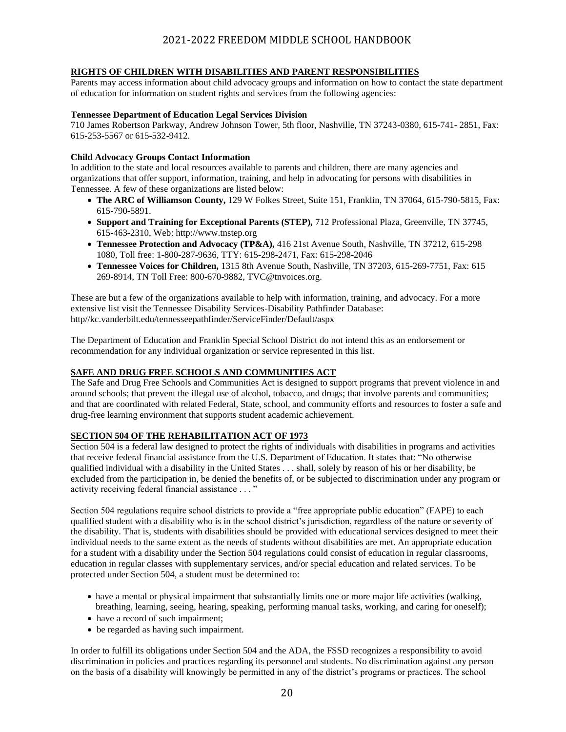### **RIGHTS OF CHILDREN WITH DISABILITIES AND PARENT RESPONSIBILITIES**

Parents may access information about child advocacy groups and information on how to contact the state department of education for information on student rights and services from the following agencies:

#### **Tennessee Department of Education Legal Services Division**

710 James Robertson Parkway, Andrew Johnson Tower, 5th floor, Nashville, TN 37243-0380, 615-741- 2851, Fax: 615-253-5567 or 615-532-9412.

#### **Child Advocacy Groups Contact Information**

In addition to the state and local resources available to parents and children, there are many agencies and organizations that offer support, information, training, and help in advocating for persons with disabilities in Tennessee. A few of these organizations are listed below:

- **The ARC of Williamson County,** 129 W Folkes Street, Suite 151, Franklin, TN 37064, 615-790-5815, Fax: 615-790-5891.
- **Support and Training for Exceptional Parents (STEP),** 712 Professional Plaza, Greenville, TN 37745, 615-463-2310, Web: http://www.tnstep.org
- **Tennessee Protection and Advocacy (TP&A),** 416 21st Avenue South, Nashville, TN 37212, 615-298 1080, Toll free: 1-800-287-9636, TTY: 615-298-2471, Fax: 615-298-2046
- **Tennessee Voices for Children,** 1315 8th Avenue South, Nashville, TN 37203, 615-269-7751, Fax: 615 269-8914, TN Toll Free: 800-670-9882, TVC@tnvoices.org.

These are but a few of the organizations available to help with information, training, and advocacy. For a more extensive list visit the Tennessee Disability Services-Disability Pathfinder Database: http//kc.vanderbilt.edu/tennesseepathfinder/ServiceFinder/Default/aspx

The Department of Education and Franklin Special School District do not intend this as an endorsement or recommendation for any individual organization or service represented in this list.

#### **SAFE AND DRUG FREE SCHOOLS AND COMMUNITIES ACT**

The Safe and Drug Free Schools and Communities Act is designed to support programs that prevent violence in and around schools; that prevent the illegal use of alcohol, tobacco, and drugs; that involve parents and communities; and that are coordinated with related Federal, State, school, and community efforts and resources to foster a safe and drug-free learning environment that supports student academic achievement.

#### **SECTION 504 OF THE REHABILITATION ACT OF 1973**

Section 504 is a federal law designed to protect the rights of individuals with disabilities in programs and activities that receive federal financial assistance from the U.S. Department of Education. It states that: "No otherwise qualified individual with a disability in the United States . . . shall, solely by reason of his or her disability, be excluded from the participation in, be denied the benefits of, or be subjected to discrimination under any program or activity receiving federal financial assistance . . . "

Section 504 regulations require school districts to provide a "free appropriate public education" (FAPE) to each qualified student with a disability who is in the school district's jurisdiction, regardless of the nature or severity of the disability. That is, students with disabilities should be provided with educational services designed to meet their individual needs to the same extent as the needs of students without disabilities are met. An appropriate education for a student with a disability under the Section 504 regulations could consist of education in regular classrooms, education in regular classes with supplementary services, and/or special education and related services. To be protected under Section 504, a student must be determined to:

- have a mental or physical impairment that substantially limits one or more major life activities (walking, breathing, learning, seeing, hearing, speaking, performing manual tasks, working, and caring for oneself);
- have a record of such impairment;
- be regarded as having such impairment.

In order to fulfill its obligations under Section 504 and the ADA, the FSSD recognizes a responsibility to avoid discrimination in policies and practices regarding its personnel and students. No discrimination against any person on the basis of a disability will knowingly be permitted in any of the district's programs or practices. The school